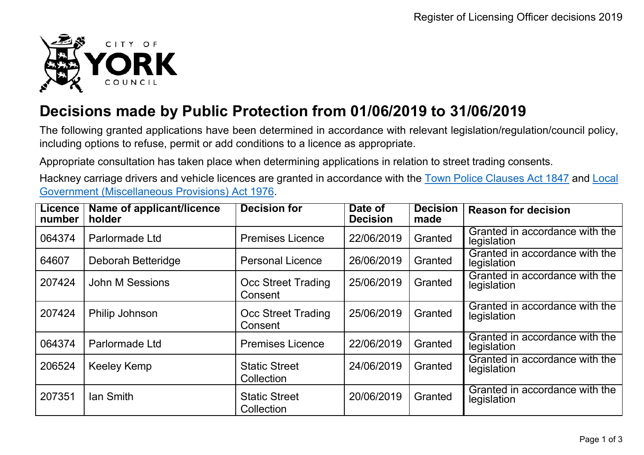

## **Decisions made by Public Protection from 01/06/2019 to 31/06/2019**

The following granted applications have been determined in accordance with relevant legislation/regulation/council policy, including options to refuse, permit or add conditions to a licence as appropriate.

Appropriate consultation has taken place when determining applications in relation to street trading consents.

Hackney carriage drivers and vehicle licences are granted in accordance with the Town Police [Clauses](http://www.legislation.gov.uk/ukpga/Vict/10-11/89) Act 1847 and [Local](http://www.legislation.gov.uk/ukpga/1976/57) [Government \(Miscellaneous Provisions\) Act 1976.](http://www.legislation.gov.uk/ukpga/1976/57)

| <b>Licence</b><br>number | Name of applicant/licence<br>holder | <b>Decision for</b>                  | Date of<br><b>Decision</b> | <b>Decision</b><br>made | <b>Reason for decision</b>                    |
|--------------------------|-------------------------------------|--------------------------------------|----------------------------|-------------------------|-----------------------------------------------|
| 064374                   | Parlormade Ltd                      | <b>Premises Licence</b>              | 22/06/2019                 | Granted                 | Granted in accordance with the<br>legislation |
| 64607                    | Deborah Betteridge                  | <b>Personal Licence</b>              | 26/06/2019                 | Granted                 | Granted in accordance with the<br>legislation |
| 207424                   | John M Sessions                     | <b>Occ Street Trading</b><br>Consent | 25/06/2019                 | Granted                 | Granted in accordance with the<br>legislation |
| 207424                   | Philip Johnson                      | Occ Street Trading<br>Consent        | 25/06/2019                 | Granted                 | Granted in accordance with the<br>legislation |
| 064374                   | Parlormade Ltd                      | <b>Premises Licence</b>              | 22/06/2019                 | Granted                 | Granted in accordance with the<br>legislation |
| 206524                   | Keeley Kemp                         | <b>Static Street</b><br>Collection   | 24/06/2019                 | Granted                 | Granted in accordance with the<br>legislation |
| 207351                   | lan Smith                           | <b>Static Street</b><br>Collection   | 20/06/2019                 | Granted                 | Granted in accordance with the<br>legislation |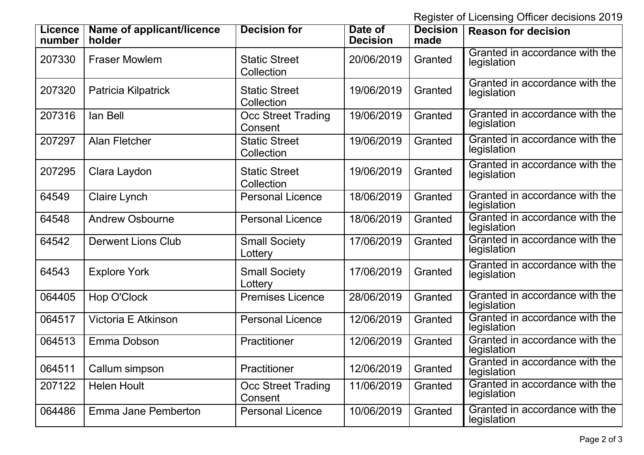Register of Licensing Officer decisions 2019

| <b>Licence</b><br>number | Name of applicant/licence<br>holder | <b>Decision for</b>                  | Date of<br><b>Decision</b> | <b>Decision</b><br>made | <b>Reason for decision</b>                    |
|--------------------------|-------------------------------------|--------------------------------------|----------------------------|-------------------------|-----------------------------------------------|
| 207330                   | <b>Fraser Mowlem</b>                | <b>Static Street</b><br>Collection   | 20/06/2019                 | Granted                 | Granted in accordance with the<br>legislation |
| 207320                   | Patricia Kilpatrick                 | <b>Static Street</b><br>Collection   | 19/06/2019                 | Granted                 | Granted in accordance with the<br>legislation |
| 207316                   | lan Bell                            | <b>Occ Street Trading</b><br>Consent | 19/06/2019                 | Granted                 | Granted in accordance with the<br>legislation |
| 207297                   | <b>Alan Fletcher</b>                | <b>Static Street</b><br>Collection   | 19/06/2019                 | Granted                 | Granted in accordance with the<br>legislation |
| 207295                   | Clara Laydon                        | <b>Static Street</b><br>Collection   | 19/06/2019                 | Granted                 | Granted in accordance with the<br>legislation |
| 64549                    | Claire Lynch                        | <b>Personal Licence</b>              | 18/06/2019                 | Granted                 | Granted in accordance with the<br>legislation |
| 64548                    | <b>Andrew Osbourne</b>              | <b>Personal Licence</b>              | 18/06/2019                 | Granted                 | Granted in accordance with the<br>legislation |
| 64542                    | <b>Derwent Lions Club</b>           | <b>Small Society</b><br>Lottery      | 17/06/2019                 | Granted                 | Granted in accordance with the<br>legislation |
| 64543                    | <b>Explore York</b>                 | <b>Small Society</b><br>Lottery      | 17/06/2019                 | Granted                 | Granted in accordance with the<br>legislation |
| 064405                   | Hop O'Clock                         | <b>Premises Licence</b>              | 28/06/2019                 | Granted                 | Granted in accordance with the<br>legislation |
| 064517                   | Victoria E Atkinson                 | <b>Personal Licence</b>              | 12/06/2019                 | Granted                 | Granted in accordance with the<br>legislation |
| 064513                   | Emma Dobson                         | Practitioner                         | 12/06/2019                 | Granted                 | Granted in accordance with the<br>legislation |
| 064511                   | Callum simpson                      | Practitioner                         | 12/06/2019                 | Granted                 | Granted in accordance with the<br>legislation |
| 207122                   | <b>Helen Hoult</b>                  | Occ Street Trading<br>Consent        | 11/06/2019                 | Granted                 | Granted in accordance with the<br>legislation |
| 064486                   | Emma Jane Pemberton                 | <b>Personal Licence</b>              | 10/06/2019                 | Granted                 | Granted in accordance with the<br>legislation |